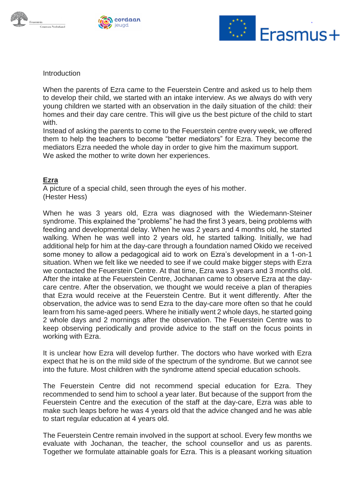





Introduction

When the parents of Ezra came to the Feuerstein Centre and asked us to help them to develop their child, we started with an intake interview. As we always do with very young children we started with an observation in the daily situation of the child: their homes and their day care centre. This will give us the best picture of the child to start with.

Instead of asking the parents to come to the Feuerstein centre every week, we offered them to help the teachers to become "better mediators" for Ezra. They become the mediators Ezra needed the whole day in order to give him the maximum support. We asked the mother to write down her experiences.

## **Ezra**

A picture of a special child, seen through the eyes of his mother. (Hester Hess)

When he was 3 years old, Ezra was diagnosed with the Wiedemann-Steiner syndrome. This explained the "problems" he had the first 3 years, being problems with feeding and developmental delay. When he was 2 years and 4 months old, he started walking. When he was well into 2 years old, he started talking. Initially, we had additional help for him at the day-care through a foundation named Okido we received some money to allow a pedagogical aid to work on Ezra's development in a 1-on-1 situation. When we felt like we needed to see if we could make bigger steps with Ezra we contacted the Feuerstein Centre. At that time, Ezra was 3 years and 3 months old. After the intake at the Feuerstein Centre, Jochanan came to observe Ezra at the daycare centre. After the observation, we thought we would receive a plan of therapies that Ezra would receive at the Feuerstein Centre. But it went differently. After the observation, the advice was to send Ezra to the day-care more often so that he could learn from his same-aged peers. Where he initially went 2 whole days, he started going 2 whole days and 2 mornings after the observation. The Feuerstein Centre was to keep observing periodically and provide advice to the staff on the focus points in working with Ezra.

It is unclear how Ezra will develop further. The doctors who have worked with Ezra expect that he is on the mild side of the spectrum of the syndrome. But we cannot see into the future. Most children with the syndrome attend special education schools.

The Feuerstein Centre did not recommend special education for Ezra. They recommended to send him to school a year later. But because of the support from the Feuerstein Centre and the execution of the staff at the day-care, Ezra was able to make such leaps before he was 4 years old that the advice changed and he was able to start regular education at 4 years old.

The Feuerstein Centre remain involved in the support at school. Every few months we evaluate with Jochanan, the teacher, the school counsellor and us as parents. Together we formulate attainable goals for Ezra. This is a pleasant working situation